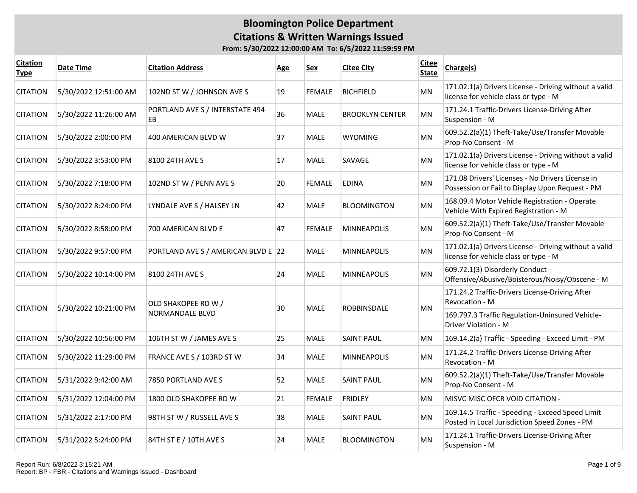| <b>Citation</b><br>Type | Date Time             | <b>Citation Address</b>                | Age | <b>Sex</b>    | <b>Citee City</b>      | <b>Citee</b><br><b>State</b> | Charge(s)                                                                                           |
|-------------------------|-----------------------|----------------------------------------|-----|---------------|------------------------|------------------------------|-----------------------------------------------------------------------------------------------------|
| <b>CITATION</b>         | 5/30/2022 12:51:00 AM | 102ND ST W / JOHNSON AVE S             | 19  | <b>FEMALE</b> | <b>RICHFIELD</b>       | MN                           | 171.02.1(a) Drivers License - Driving without a valid<br>license for vehicle class or type - M      |
| <b>CITATION</b>         | 5/30/2022 11:26:00 AM | PORTLAND AVE S / INTERSTATE 494<br>EB. | 36  | <b>MALE</b>   | <b>BROOKLYN CENTER</b> | MN                           | 171.24.1 Traffic-Drivers License-Driving After<br>Suspension - M                                    |
| <b>CITATION</b>         | 5/30/2022 2:00:00 PM  | 400 AMERICAN BLVD W                    | 37  | <b>MALE</b>   | WYOMING                | MN                           | 609.52.2(a)(1) Theft-Take/Use/Transfer Movable<br>Prop-No Consent - M                               |
| <b>CITATION</b>         | 5/30/2022 3:53:00 PM  | 8100 24TH AVE S                        | 17  | <b>MALE</b>   | SAVAGE                 | MN                           | 171.02.1(a) Drivers License - Driving without a valid<br>license for vehicle class or type - M      |
| <b>CITATION</b>         | 5/30/2022 7:18:00 PM  | 102ND ST W / PENN AVE S                | 20  | <b>FEMALE</b> | <b>EDINA</b>           | MN                           | 171.08 Drivers' Licenses - No Drivers License in<br>Possession or Fail to Display Upon Request - PM |
| <b>CITATION</b>         | 5/30/2022 8:24:00 PM  | LYNDALE AVE S / HALSEY LN              | 42  | <b>MALE</b>   | <b>BLOOMINGTON</b>     | MN                           | 168.09.4 Motor Vehicle Registration - Operate<br>Vehicle With Expired Registration - M              |
| <b>CITATION</b>         | 5/30/2022 8:58:00 PM  | 700 AMERICAN BLVD E                    | 47  | <b>FEMALE</b> | <b>MINNEAPOLIS</b>     | MN                           | 609.52.2(a)(1) Theft-Take/Use/Transfer Movable<br>Prop-No Consent - M                               |
| <b>CITATION</b>         | 5/30/2022 9:57:00 PM  | PORTLAND AVE S / AMERICAN BLVD E 22    |     | <b>MALE</b>   | <b>MINNEAPOLIS</b>     | <b>MN</b>                    | 171.02.1(a) Drivers License - Driving without a valid<br>license for vehicle class or type - M      |
| <b>CITATION</b>         | 5/30/2022 10:14:00 PM | 8100 24TH AVE S                        | 24  | <b>MALE</b>   | MINNEAPOLIS            | MN.                          | 609.72.1(3) Disorderly Conduct -<br>Offensive/Abusive/Boisterous/Noisy/Obscene - M                  |
| <b>CITATION</b>         |                       | OLD SHAKOPEE RD W /                    |     |               | ROBBINSDALE            |                              | 171.24.2 Traffic-Drivers License-Driving After<br>Revocation - M                                    |
|                         | 5/30/2022 10:21:00 PM | NORMANDALE BLVD                        | 30  | <b>MALE</b>   |                        | <b>MN</b>                    | 169.797.3 Traffic Regulation-Uninsured Vehicle-<br>Driver Violation - M                             |
| <b>CITATION</b>         | 5/30/2022 10:56:00 PM | 106TH ST W / JAMES AVE S               | 25  | <b>MALE</b>   | <b>SAINT PAUL</b>      | MN                           | 169.14.2(a) Traffic - Speeding - Exceed Limit - PM                                                  |
| <b>CITATION</b>         | 5/30/2022 11:29:00 PM | FRANCE AVE S / 103RD ST W              | 34  | <b>MALE</b>   | <b>MINNEAPOLIS</b>     | <b>MN</b>                    | 171.24.2 Traffic-Drivers License-Driving After<br>Revocation - M                                    |
| <b>CITATION</b>         | 5/31/2022 9:42:00 AM  | 7850 PORTLAND AVE S                    | 52  | <b>MALE</b>   | <b>SAINT PAUL</b>      | MN                           | 609.52.2(a)(1) Theft-Take/Use/Transfer Movable<br>Prop-No Consent - M                               |
| <b>CITATION</b>         | 5/31/2022 12:04:00 PM | 1800 OLD SHAKOPEE RD W                 | 21  | FEMALE        | <b>FRIDLEY</b>         | MN                           | MISVC MISC OFCR VOID CITATION -                                                                     |
| <b>CITATION</b>         | 5/31/2022 2:17:00 PM  | 98TH ST W / RUSSELL AVE S              | 38  | <b>MALE</b>   | <b>SAINT PAUL</b>      | MN                           | 169.14.5 Traffic - Speeding - Exceed Speed Limit<br>Posted in Local Jurisdiction Speed Zones - PM   |
| <b>CITATION</b>         | 5/31/2022 5:24:00 PM  | 84TH ST E / 10TH AVE S                 | 24  | <b>MALE</b>   | <b>BLOOMINGTON</b>     | <b>MN</b>                    | 171.24.1 Traffic-Drivers License-Driving After<br>Suspension - M                                    |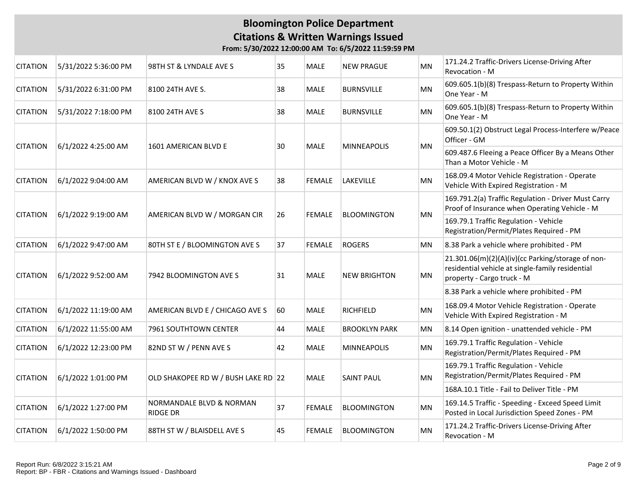| <b>CITATION</b> | 5/31/2022 5:36:00 PM | 98TH ST & LYNDALE AVE S                     | 35 | MALE          | <b>NEW PRAGUE</b>    | MN        | 171.24.2 Traffic-Drivers License-Driving After<br>Revocation - M                                                                    |
|-----------------|----------------------|---------------------------------------------|----|---------------|----------------------|-----------|-------------------------------------------------------------------------------------------------------------------------------------|
| <b>CITATION</b> | 5/31/2022 6:31:00 PM | 8100 24TH AVE S.                            | 38 | <b>MALE</b>   | <b>BURNSVILLE</b>    | <b>MN</b> | 609.605.1(b)(8) Trespass-Return to Property Within<br>One Year - M                                                                  |
| <b>CITATION</b> | 5/31/2022 7:18:00 PM | 8100 24TH AVE S                             | 38 | <b>MALE</b>   | <b>BURNSVILLE</b>    | MN        | 609.605.1(b)(8) Trespass-Return to Property Within<br>One Year - M                                                                  |
|                 |                      |                                             |    |               |                      |           | 609.50.1(2) Obstruct Legal Process-Interfere w/Peace<br>Officer - GM                                                                |
| <b>CITATION</b> | 6/1/2022 4:25:00 AM  | 1601 AMERICAN BLVD E                        | 30 | <b>MALE</b>   | MINNEAPOLIS          | MN        | 609.487.6 Fleeing a Peace Officer By a Means Other<br>Than a Motor Vehicle - M                                                      |
| <b>CITATION</b> | 6/1/2022 9:04:00 AM  | AMERICAN BLVD W / KNOX AVE S                | 38 | <b>FEMALE</b> | LAKEVILLE            | <b>MN</b> | 168.09.4 Motor Vehicle Registration - Operate<br>Vehicle With Expired Registration - M                                              |
|                 |                      | AMERICAN BLVD W / MORGAN CIR                |    |               |                      |           | 169.791.2(a) Traffic Regulation - Driver Must Carry<br>Proof of Insurance when Operating Vehicle - M                                |
| <b>CITATION</b> | 6/1/2022 9:19:00 AM  |                                             | 26 | <b>FEMALE</b> | <b>BLOOMINGTON</b>   | MN        | 169.79.1 Traffic Regulation - Vehicle<br>Registration/Permit/Plates Required - PM                                                   |
| <b>CITATION</b> | 6/1/2022 9:47:00 AM  | 80TH ST E / BLOOMINGTON AVE S               | 37 | <b>FEMALE</b> | <b>ROGERS</b>        | <b>MN</b> | 8.38 Park a vehicle where prohibited - PM                                                                                           |
| <b>CITATION</b> | 6/1/2022 9:52:00 AM  | 7942 BLOOMINGTON AVE S                      | 31 | <b>MALE</b>   | <b>NEW BRIGHTON</b>  | MN        | 21.301.06(m)(2)(A)(iv)(cc Parking/storage of non-<br>residential vehicle at single-family residential<br>property - Cargo truck - M |
|                 |                      |                                             |    |               |                      |           | 8.38 Park a vehicle where prohibited - PM                                                                                           |
| <b>CITATION</b> | 6/1/2022 11:19:00 AM | AMERICAN BLVD E / CHICAGO AVE S             | 60 | <b>MALE</b>   | RICHFIELD            | MN        | 168.09.4 Motor Vehicle Registration - Operate<br>Vehicle With Expired Registration - M                                              |
| <b>CITATION</b> | 6/1/2022 11:55:00 AM | 7961 SOUTHTOWN CENTER                       | 44 | <b>MALE</b>   | <b>BROOKLYN PARK</b> | MN        | 8.14 Open ignition - unattended vehicle - PM                                                                                        |
| <b>CITATION</b> | 6/1/2022 12:23:00 PM | 82ND ST W / PENN AVE S                      | 42 | <b>MALE</b>   | MINNEAPOLIS          | <b>MN</b> | 169.79.1 Traffic Regulation - Vehicle<br>Registration/Permit/Plates Required - PM                                                   |
| <b>CITATION</b> | 6/1/2022 1:01:00 PM  | OLD SHAKOPEE RD W / BUSH LAKE RD 22         |    | <b>MALE</b>   | <b>SAINT PAUL</b>    | <b>MN</b> | 169.79.1 Traffic Regulation - Vehicle<br>Registration/Permit/Plates Required - PM                                                   |
|                 |                      |                                             |    |               |                      |           | 168A.10.1 Title - Fail to Deliver Title - PM                                                                                        |
| <b>CITATION</b> | 6/1/2022 1:27:00 PM  | NORMANDALE BLVD & NORMAN<br><b>RIDGE DR</b> | 37 | <b>FEMALE</b> | <b>BLOOMINGTON</b>   | MN        | 169.14.5 Traffic - Speeding - Exceed Speed Limit<br>Posted in Local Jurisdiction Speed Zones - PM                                   |
| <b>CITATION</b> | 6/1/2022 1:50:00 PM  | 88TH ST W / BLAISDELL AVE S                 | 45 | <b>FEMALE</b> | <b>BLOOMINGTON</b>   | MN        | 171.24.2 Traffic-Drivers License-Driving After<br>Revocation - M                                                                    |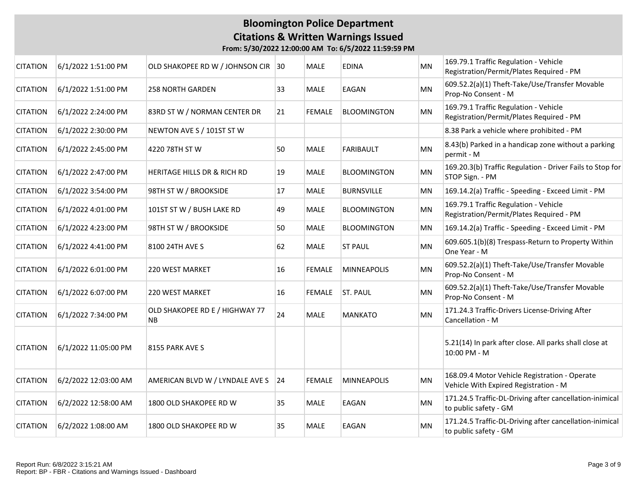| <b>CITATION</b> | 6/1/2022 1:51:00 PM  | OLD SHAKOPEE RD W / JOHNSON CIR 30          |    | MALE          | <b>EDINA</b>       | MN        | 169.79.1 Traffic Regulation - Vehicle<br>Registration/Permit/Plates Required - PM      |
|-----------------|----------------------|---------------------------------------------|----|---------------|--------------------|-----------|----------------------------------------------------------------------------------------|
| <b>CITATION</b> | 6/1/2022 1:51:00 PM  | <b>258 NORTH GARDEN</b>                     | 33 | <b>MALE</b>   | EAGAN              | <b>MN</b> | 609.52.2(a)(1) Theft-Take/Use/Transfer Movable<br>Prop-No Consent - M                  |
| <b>CITATION</b> | 6/1/2022 2:24:00 PM  | 83RD ST W / NORMAN CENTER DR                | 21 | <b>FEMALE</b> | <b>BLOOMINGTON</b> | <b>MN</b> | 169.79.1 Traffic Regulation - Vehicle<br>Registration/Permit/Plates Required - PM      |
| <b>CITATION</b> | 6/1/2022 2:30:00 PM  | NEWTON AVE S / 101ST ST W                   |    |               |                    |           | 8.38 Park a vehicle where prohibited - PM                                              |
| <b>CITATION</b> | 6/1/2022 2:45:00 PM  | 4220 78TH ST W                              | 50 | <b>MALE</b>   | <b>FARIBAULT</b>   | MN        | 8.43(b) Parked in a handicap zone without a parking<br>permit - M                      |
| <b>CITATION</b> | 6/1/2022 2:47:00 PM  | <b>HERITAGE HILLS DR &amp; RICH RD</b>      | 19 | <b>MALE</b>   | <b>BLOOMINGTON</b> | MN        | 169.20.3(b) Traffic Regulation - Driver Fails to Stop for<br>STOP Sign. - PM           |
| <b>CITATION</b> | 6/1/2022 3:54:00 PM  | 98TH ST W / BROOKSIDE                       | 17 | <b>MALE</b>   | <b>BURNSVILLE</b>  | MN        | 169.14.2(a) Traffic - Speeding - Exceed Limit - PM                                     |
| <b>CITATION</b> | 6/1/2022 4:01:00 PM  | 101ST ST W / BUSH LAKE RD                   | 49 | <b>MALE</b>   | <b>BLOOMINGTON</b> | <b>MN</b> | 169.79.1 Traffic Regulation - Vehicle<br>Registration/Permit/Plates Required - PM      |
| <b>CITATION</b> | 6/1/2022 4:23:00 PM  | 98TH ST W / BROOKSIDE                       | 50 | <b>MALE</b>   | <b>BLOOMINGTON</b> | <b>MN</b> | 169.14.2(a) Traffic - Speeding - Exceed Limit - PM                                     |
| <b>CITATION</b> | 6/1/2022 4:41:00 PM  | 8100 24TH AVE S                             | 62 | <b>MALE</b>   | <b>ST PAUL</b>     | MN        | 609.605.1(b)(8) Trespass-Return to Property Within<br>One Year - M                     |
| <b>CITATION</b> | 6/1/2022 6:01:00 PM  | 220 WEST MARKET                             | 16 | <b>FEMALE</b> | <b>MINNEAPOLIS</b> | MN        | 609.52.2(a)(1) Theft-Take/Use/Transfer Movable<br>Prop-No Consent - M                  |
| <b>CITATION</b> | 6/1/2022 6:07:00 PM  | <b>220 WEST MARKET</b>                      | 16 | <b>FEMALE</b> | <b>ST. PAUL</b>    | MN        | 609.52.2(a)(1) Theft-Take/Use/Transfer Movable<br>Prop-No Consent - M                  |
| <b>CITATION</b> | 6/1/2022 7:34:00 PM  | OLD SHAKOPEE RD E / HIGHWAY 77<br><b>NB</b> | 24 | <b>MALE</b>   | <b>MANKATO</b>     | <b>MN</b> | 171.24.3 Traffic-Drivers License-Driving After<br>Cancellation - M                     |
| <b>CITATION</b> | 6/1/2022 11:05:00 PM | 8155 PARK AVE S                             |    |               |                    |           | 5.21(14) In park after close. All parks shall close at<br>10:00 PM - M                 |
| <b>CITATION</b> | 6/2/2022 12:03:00 AM | AMERICAN BLVD W / LYNDALE AVE S 24          |    | <b>FEMALE</b> | <b>MINNEAPOLIS</b> | MN        | 168.09.4 Motor Vehicle Registration - Operate<br>Vehicle With Expired Registration - M |
| <b>CITATION</b> | 6/2/2022 12:58:00 AM | 1800 OLD SHAKOPEE RD W                      | 35 | MALE          | EAGAN              | MN        | 171.24.5 Traffic-DL-Driving after cancellation-inimical<br>to public safety - GM       |
| <b>CITATION</b> | 6/2/2022 1:08:00 AM  | 1800 OLD SHAKOPEE RD W                      | 35 | <b>MALE</b>   | <b>EAGAN</b>       | MN        | 171.24.5 Traffic-DL-Driving after cancellation-inimical<br>to public safety - GM       |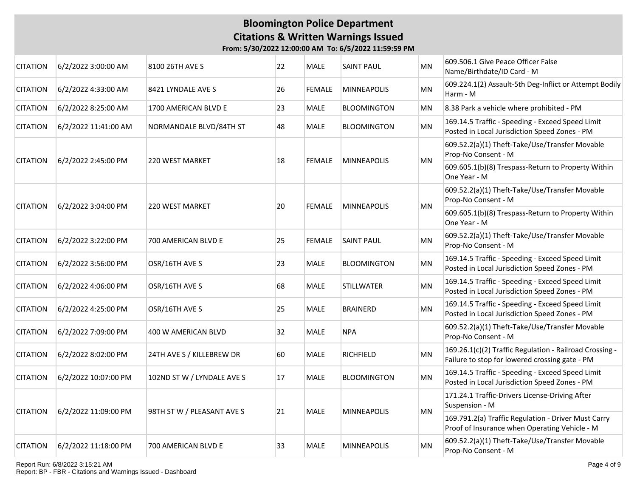| <b>CITATION</b> | 6/2/2022 3:00:00 AM  | 8100 26TH AVE S            | 22 | <b>MALE</b>   | <b>SAINT PAUL</b>  | MN        | 609.506.1 Give Peace Officer False<br>Name/Birthdate/ID Card - M                                          |
|-----------------|----------------------|----------------------------|----|---------------|--------------------|-----------|-----------------------------------------------------------------------------------------------------------|
| <b>CITATION</b> | 6/2/2022 4:33:00 AM  | 8421 LYNDALE AVE S         | 26 | <b>FEMALE</b> | <b>MINNEAPOLIS</b> | MN        | 609.224.1(2) Assault-5th Deg-Inflict or Attempt Bodily<br>Harm - M                                        |
| <b>CITATION</b> | 6/2/2022 8:25:00 AM  | 1700 AMERICAN BLVD E       | 23 | <b>MALE</b>   | <b>BLOOMINGTON</b> | MN        | 8.38 Park a vehicle where prohibited - PM                                                                 |
| <b>CITATION</b> | 6/2/2022 11:41:00 AM | NORMANDALE BLVD/84TH ST    | 48 | <b>MALE</b>   | <b>BLOOMINGTON</b> | MN        | 169.14.5 Traffic - Speeding - Exceed Speed Limit<br>Posted in Local Jurisdiction Speed Zones - PM         |
| <b>CITATION</b> |                      |                            | 18 | <b>FEMALE</b> | <b>MINNEAPOLIS</b> | MN        | 609.52.2(a)(1) Theft-Take/Use/Transfer Movable<br>Prop-No Consent - M                                     |
|                 | 6/2/2022 2:45:00 PM  | 220 WEST MARKET            |    |               |                    |           | 609.605.1(b)(8) Trespass-Return to Property Within<br>One Year - M                                        |
|                 |                      |                            |    |               | <b>MINNEAPOLIS</b> |           | 609.52.2(a)(1) Theft-Take/Use/Transfer Movable<br>Prop-No Consent - M                                     |
| <b>CITATION</b> | 6/2/2022 3:04:00 PM  | <b>220 WEST MARKET</b>     | 20 | <b>FEMALE</b> |                    | MN        | 609.605.1(b)(8) Trespass-Return to Property Within<br>One Year - M                                        |
| <b>CITATION</b> | 6/2/2022 3:22:00 PM  | 700 AMERICAN BLVD E        | 25 | <b>FEMALE</b> | <b>SAINT PAUL</b>  | MN        | 609.52.2(a)(1) Theft-Take/Use/Transfer Movable<br>Prop-No Consent - M                                     |
| <b>CITATION</b> | 6/2/2022 3:56:00 PM  | OSR/16TH AVE S             | 23 | <b>MALE</b>   | <b>BLOOMINGTON</b> | MN        | 169.14.5 Traffic - Speeding - Exceed Speed Limit<br>Posted in Local Jurisdiction Speed Zones - PM         |
| <b>CITATION</b> | 6/2/2022 4:06:00 PM  | OSR/16TH AVE S             | 68 | <b>MALE</b>   | <b>STILLWATER</b>  | MN        | 169.14.5 Traffic - Speeding - Exceed Speed Limit<br>Posted in Local Jurisdiction Speed Zones - PM         |
| <b>CITATION</b> | 6/2/2022 4:25:00 PM  | OSR/16TH AVE S             | 25 | <b>MALE</b>   | <b>BRAINERD</b>    | <b>MN</b> | 169.14.5 Traffic - Speeding - Exceed Speed Limit<br>Posted in Local Jurisdiction Speed Zones - PM         |
| <b>CITATION</b> | 6/2/2022 7:09:00 PM  | 400 W AMERICAN BLVD        | 32 | <b>MALE</b>   | <b>NPA</b>         |           | 609.52.2(a)(1) Theft-Take/Use/Transfer Movable<br>Prop-No Consent - M                                     |
| <b>CITATION</b> | 6/2/2022 8:02:00 PM  | 24TH AVE S / KILLEBREW DR  | 60 | <b>MALE</b>   | <b>RICHFIELD</b>   | MN        | 169.26.1(c)(2) Traffic Regulation - Railroad Crossing -<br>Failure to stop for lowered crossing gate - PM |
| <b>CITATION</b> | 6/2/2022 10:07:00 PM | 102ND ST W / LYNDALE AVE S | 17 | <b>MALE</b>   | <b>BLOOMINGTON</b> | MN        | 169.14.5 Traffic - Speeding - Exceed Speed Limit<br>Posted in Local Jurisdiction Speed Zones - PM         |
|                 |                      |                            |    |               |                    |           | 171.24.1 Traffic-Drivers License-Driving After<br>Suspension - M                                          |
| <b>CITATION</b> | 6/2/2022 11:09:00 PM | 98TH ST W / PLEASANT AVE S | 21 | <b>MALE</b>   | <b>MINNEAPOLIS</b> | MN        | 169.791.2(a) Traffic Regulation - Driver Must Carry<br>Proof of Insurance when Operating Vehicle - M      |
| <b>CITATION</b> | 6/2/2022 11:18:00 PM | 700 AMERICAN BLVD E        | 33 | <b>MALE</b>   | <b>MINNEAPOLIS</b> | MN        | 609.52.2(a)(1) Theft-Take/Use/Transfer Movable<br>Prop-No Consent - M                                     |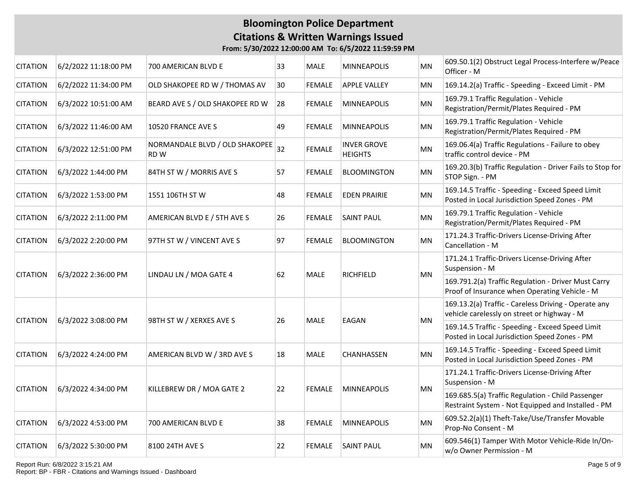#### **Bloomington Police Department Citations & Written Warnings Issued From: 5/30/2022 12:00:00 AM To: 6/5/2022 11:59:59 PM**

| <b>CITATION</b> | 6/2/2022 11:18:00 PM | 700 AMERICAN BLVD E                    | 33 | <b>MALE</b>   | MINNEAPOLIS                          | MN        | 609.50.1(2) Obstruct Legal Process-Interfere w/Peace<br>Officer - M                                     |
|-----------------|----------------------|----------------------------------------|----|---------------|--------------------------------------|-----------|---------------------------------------------------------------------------------------------------------|
| <b>CITATION</b> | 6/2/2022 11:34:00 PM | OLD SHAKOPEE RD W / THOMAS AV          | 30 | <b>FEMALE</b> | <b>APPLE VALLEY</b>                  | MN        | 169.14.2(a) Traffic - Speeding - Exceed Limit - PM                                                      |
| <b>CITATION</b> | 6/3/2022 10:51:00 AM | BEARD AVE S / OLD SHAKOPEE RD W        | 28 | <b>FEMALE</b> | <b>MINNEAPOLIS</b>                   | <b>MN</b> | 169.79.1 Traffic Regulation - Vehicle<br>Registration/Permit/Plates Required - PM                       |
| <b>CITATION</b> | 6/3/2022 11:46:00 AM | 10520 FRANCE AVE S                     | 49 | <b>FEMALE</b> | <b>MINNEAPOLIS</b>                   | MN        | 169.79.1 Traffic Regulation - Vehicle<br>Registration/Permit/Plates Required - PM                       |
| <b>CITATION</b> | 6/3/2022 12:51:00 PM | NORMANDALE BLVD / OLD SHAKOPEE<br>RD W | 32 | <b>FEMALE</b> | <b>INVER GROVE</b><br><b>HEIGHTS</b> | MN        | 169.06.4(a) Traffic Regulations - Failure to obey<br>traffic control device - PM                        |
| <b>CITATION</b> | 6/3/2022 1:44:00 PM  | 84TH ST W / MORRIS AVE S               | 57 | <b>FEMALE</b> | <b>BLOOMINGTON</b>                   | MN        | 169.20.3(b) Traffic Regulation - Driver Fails to Stop for<br>STOP Sign. - PM                            |
| <b>CITATION</b> | 6/3/2022 1:53:00 PM  | 1551 106TH ST W                        | 48 | <b>FEMALE</b> | <b>EDEN PRAIRIE</b>                  | MN        | 169.14.5 Traffic - Speeding - Exceed Speed Limit<br>Posted in Local Jurisdiction Speed Zones - PM       |
| <b>CITATION</b> | 6/3/2022 2:11:00 PM  | AMERICAN BLVD E / 5TH AVE S            | 26 | <b>FEMALE</b> | <b>SAINT PAUL</b>                    | <b>MN</b> | 169.79.1 Traffic Regulation - Vehicle<br>Registration/Permit/Plates Required - PM                       |
| <b>CITATION</b> | 6/3/2022 2:20:00 PM  | 97TH ST W / VINCENT AVE S              | 97 | <b>FEMALE</b> | <b>BLOOMINGTON</b>                   | MN        | 171.24.3 Traffic-Drivers License-Driving After<br>Cancellation - M                                      |
| <b>CITATION</b> | 6/3/2022 2:36:00 PM  | LINDAU LN / MOA GATE 4                 | 62 | <b>MALE</b>   | RICHFIELD                            | MN        | 171.24.1 Traffic-Drivers License-Driving After<br>Suspension - M                                        |
|                 |                      |                                        |    |               |                                      |           | 169.791.2(a) Traffic Regulation - Driver Must Carry<br>Proof of Insurance when Operating Vehicle - M    |
| <b>CITATION</b> | 6/3/2022 3:08:00 PM  | 98TH ST W / XERXES AVE S               | 26 | <b>MALE</b>   | EAGAN                                | MN        | 169.13.2(a) Traffic - Careless Driving - Operate any<br>vehicle carelessly on street or highway - M     |
|                 |                      |                                        |    |               |                                      |           | 169.14.5 Traffic - Speeding - Exceed Speed Limit<br>Posted in Local Jurisdiction Speed Zones - PM       |
| <b>CITATION</b> | 6/3/2022 4:24:00 PM  | AMERICAN BLVD W / 3RD AVE S            | 18 | <b>MALE</b>   | CHANHASSEN                           | MN        | 169.14.5 Traffic - Speeding - Exceed Speed Limit<br>Posted in Local Jurisdiction Speed Zones - PM       |
| <b>CITATION</b> | 6/3/2022 4:34:00 PM  |                                        | 22 | <b>FEMALE</b> | <b>MINNEAPOLIS</b>                   | <b>MN</b> | 171.24.1 Traffic-Drivers License-Driving After<br>Suspension - M                                        |
|                 |                      | KILLEBREW DR / MOA GATE 2              |    |               |                                      |           | 169.685.5(a) Traffic Regulation - Child Passenger<br>Restraint System - Not Equipped and Installed - PM |
| <b>CITATION</b> | 6/3/2022 4:53:00 PM  | 700 AMERICAN BLVD E                    | 38 | <b>FEMALE</b> | <b>MINNEAPOLIS</b>                   | MN        | 609.52.2(a)(1) Theft-Take/Use/Transfer Movable<br>Prop-No Consent - M                                   |
| <b>CITATION</b> | 6/3/2022 5:30:00 PM  | 8100 24TH AVE S                        | 22 | <b>FEMALE</b> | <b>SAINT PAUL</b>                    | MN        | 609.546(1) Tamper With Motor Vehicle-Ride In/On-<br>w/o Owner Permission - M                            |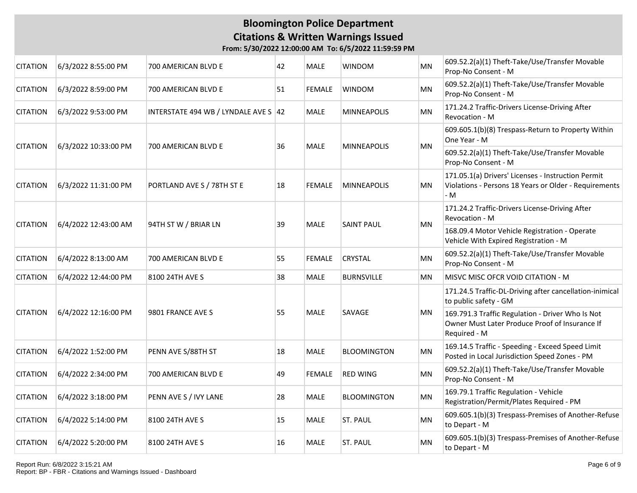| <b>CITATION</b> | 6/3/2022 8:55:00 PM  | 700 AMERICAN BLVD E                  | 42 | <b>MALE</b>   | WINDOM             | MN        | 609.52.2(a)(1) Theft-Take/Use/Transfer Movable<br>Prop-No Consent - M                                              |
|-----------------|----------------------|--------------------------------------|----|---------------|--------------------|-----------|--------------------------------------------------------------------------------------------------------------------|
| <b>CITATION</b> | 6/3/2022 8:59:00 PM  | 700 AMERICAN BLVD E                  | 51 | <b>FEMALE</b> | <b>WINDOM</b>      | <b>MN</b> | 609.52.2(a)(1) Theft-Take/Use/Transfer Movable<br>Prop-No Consent - M                                              |
| <b>CITATION</b> | 6/3/2022 9:53:00 PM  | INTERSTATE 494 WB / LYNDALE AVE S 42 |    | <b>MALE</b>   | MINNEAPOLIS        | MN        | 171.24.2 Traffic-Drivers License-Driving After<br>Revocation - M                                                   |
| <b>CITATION</b> | 6/3/2022 10:33:00 PM | 700 AMERICAN BLVD E                  | 36 | <b>MALE</b>   | <b>MINNEAPOLIS</b> | MN.       | 609.605.1(b)(8) Trespass-Return to Property Within<br>One Year - M                                                 |
|                 |                      |                                      |    |               |                    |           | 609.52.2(a)(1) Theft-Take/Use/Transfer Movable<br>Prop-No Consent - M                                              |
| <b>CITATION</b> | 6/3/2022 11:31:00 PM | PORTLAND AVE S / 78TH ST E           | 18 | <b>FEMALE</b> | <b>MINNEAPOLIS</b> | MN        | 171.05.1(a) Drivers' Licenses - Instruction Permit<br>Violations - Persons 18 Years or Older - Requirements<br>- M |
| <b>CITATION</b> | 6/4/2022 12:43:00 AM | 94TH ST W / BRIAR LN                 | 39 | <b>MALE</b>   | <b>SAINT PAUL</b>  | MN.       | 171.24.2 Traffic-Drivers License-Driving After<br>Revocation - M                                                   |
|                 |                      |                                      |    |               |                    |           | 168.09.4 Motor Vehicle Registration - Operate<br>Vehicle With Expired Registration - M                             |
| <b>CITATION</b> | 6/4/2022 8:13:00 AM  | 700 AMERICAN BLVD E                  | 55 | <b>FEMALE</b> | <b>CRYSTAL</b>     | MN        | 609.52.2(a)(1) Theft-Take/Use/Transfer Movable<br>Prop-No Consent - M                                              |
| <b>CITATION</b> | 6/4/2022 12:44:00 PM | 8100 24TH AVE S                      | 38 | <b>MALE</b>   | <b>BURNSVILLE</b>  | <b>MN</b> | MISVC MISC OFCR VOID CITATION - M                                                                                  |
|                 | 6/4/2022 12:16:00 PM | 9801 FRANCE AVE S                    |    | <b>MALE</b>   |                    |           | 171.24.5 Traffic-DL-Driving after cancellation-inimical<br>to public safety - GM                                   |
| <b>CITATION</b> |                      |                                      | 55 |               | SAVAGE             | MN        | 169.791.3 Traffic Regulation - Driver Who Is Not<br>Owner Must Later Produce Proof of Insurance If<br>Required - M |
| <b>CITATION</b> | 6/4/2022 1:52:00 PM  | PENN AVE S/88TH ST                   | 18 | <b>MALE</b>   | <b>BLOOMINGTON</b> | MN        | 169.14.5 Traffic - Speeding - Exceed Speed Limit<br>Posted in Local Jurisdiction Speed Zones - PM                  |
| <b>CITATION</b> | 6/4/2022 2:34:00 PM  | 700 AMERICAN BLVD E                  | 49 | <b>FEMALE</b> | <b>RED WING</b>    | <b>MN</b> | 609.52.2(a)(1) Theft-Take/Use/Transfer Movable<br>Prop-No Consent - M                                              |
| <b>CITATION</b> | 6/4/2022 3:18:00 PM  | PENN AVE S / IVY LANE                | 28 | MALE          | <b>BLOOMINGTON</b> | MN        | 169.79.1 Traffic Regulation - Vehicle<br>Registration/Permit/Plates Required - PM                                  |
| <b>CITATION</b> | 6/4/2022 5:14:00 PM  | 8100 24TH AVE S                      | 15 | <b>MALE</b>   | <b>ST. PAUL</b>    | MN        | 609.605.1(b)(3) Trespass-Premises of Another-Refuse<br>to Depart - M                                               |
| <b>CITATION</b> | 6/4/2022 5:20:00 PM  | 8100 24TH AVE S                      | 16 | <b>MALE</b>   | <b>ST. PAUL</b>    | MN        | 609.605.1(b)(3) Trespass-Premises of Another-Refuse<br>to Depart - M                                               |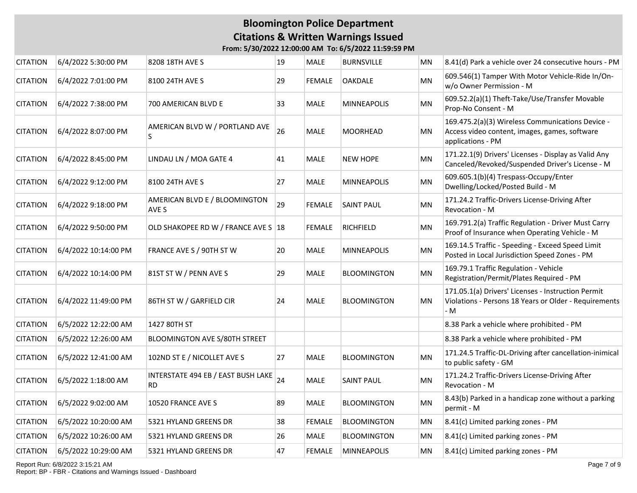**From: 5/30/2022 12:00:00 AM To: 6/5/2022 11:59:59 PM**

| <b>CITATION</b> | 6/4/2022 5:30:00 PM  | 8208 18TH AVE S                           | 19 | <b>MALE</b>   | <b>BURNSVILLE</b>  | <b>MN</b> | 8.41(d) Park a vehicle over 24 consecutive hours - PM                                                                  |
|-----------------|----------------------|-------------------------------------------|----|---------------|--------------------|-----------|------------------------------------------------------------------------------------------------------------------------|
| <b>CITATION</b> | 6/4/2022 7:01:00 PM  | 8100 24TH AVE S                           | 29 | <b>FEMALE</b> | <b>OAKDALE</b>     | MN        | 609.546(1) Tamper With Motor Vehicle-Ride In/On-<br>w/o Owner Permission - M                                           |
| <b>CITATION</b> | 6/4/2022 7:38:00 PM  | 700 AMERICAN BLVD E                       | 33 | <b>MALE</b>   | <b>MINNEAPOLIS</b> | MN        | 609.52.2(a)(1) Theft-Take/Use/Transfer Movable<br>Prop-No Consent - M                                                  |
| <b>CITATION</b> | 6/4/2022 8:07:00 PM  | AMERICAN BLVD W / PORTLAND AVE<br>S       | 26 | <b>MALE</b>   | <b>MOORHEAD</b>    | MN        | 169.475.2(a)(3) Wireless Communications Device -<br>Access video content, images, games, software<br>applications - PM |
| <b>CITATION</b> | 6/4/2022 8:45:00 PM  | LINDAU LN / MOA GATE 4                    | 41 | <b>MALE</b>   | <b>NEW HOPE</b>    | <b>MN</b> | 171.22.1(9) Drivers' Licenses - Display as Valid Any<br>Canceled/Revoked/Suspended Driver's License - M                |
| <b>CITATION</b> | 6/4/2022 9:12:00 PM  | 8100 24TH AVE S                           | 27 | MALE          | MINNEAPOLIS        | MN        | 609.605.1(b)(4) Trespass-Occupy/Enter<br>Dwelling/Locked/Posted Build - M                                              |
| <b>CITATION</b> | 6/4/2022 9:18:00 PM  | AMERICAN BLVD E / BLOOMINGTON<br>AVE S    | 29 | <b>FEMALE</b> | <b>SAINT PAUL</b>  | MN        | 171.24.2 Traffic-Drivers License-Driving After<br>Revocation - M                                                       |
| <b>CITATION</b> | 6/4/2022 9:50:00 PM  | OLD SHAKOPEE RD W / FRANCE AVE S 18       |    | <b>FEMALE</b> | <b>RICHFIELD</b>   | MN        | 169.791.2(a) Traffic Regulation - Driver Must Carry<br>Proof of Insurance when Operating Vehicle - M                   |
| <b>CITATION</b> | 6/4/2022 10:14:00 PM | FRANCE AVE S / 90TH ST W                  | 20 | <b>MALE</b>   | <b>MINNEAPOLIS</b> | <b>MN</b> | 169.14.5 Traffic - Speeding - Exceed Speed Limit<br>Posted in Local Jurisdiction Speed Zones - PM                      |
| <b>CITATION</b> | 6/4/2022 10:14:00 PM | 81ST ST W / PENN AVE S                    | 29 | MALE          | BLOOMINGTON        | MN        | 169.79.1 Traffic Regulation - Vehicle<br>Registration/Permit/Plates Required - PM                                      |
| <b>CITATION</b> | 6/4/2022 11:49:00 PM | 86TH ST W / GARFIELD CIR                  | 24 | <b>MALE</b>   | BLOOMINGTON        | MN        | 171.05.1(a) Drivers' Licenses - Instruction Permit<br>Violations - Persons 18 Years or Older - Requirements<br>- M     |
| <b>CITATION</b> | 6/5/2022 12:22:00 AM | 1427 80TH ST                              |    |               |                    |           | 8.38 Park a vehicle where prohibited - PM                                                                              |
| <b>CITATION</b> | 6/5/2022 12:26:00 AM | BLOOMINGTON AVE S/80TH STREET             |    |               |                    |           | 8.38 Park a vehicle where prohibited - PM                                                                              |
| <b>CITATION</b> | 6/5/2022 12:41:00 AM | 102ND ST E / NICOLLET AVE S               | 27 | <b>MALE</b>   | <b>BLOOMINGTON</b> | <b>MN</b> | 171.24.5 Traffic-DL-Driving after cancellation-inimical<br>to public safety - GM                                       |
| <b>CITATION</b> | 6/5/2022 1:18:00 AM  | INTERSTATE 494 EB / EAST BUSH LAKE<br>RD. | 24 | MALE          | <b>SAINT PAUL</b>  | MN        | 171.24.2 Traffic-Drivers License-Driving After<br>Revocation - M                                                       |
| <b>CITATION</b> | 6/5/2022 9:02:00 AM  | 10520 FRANCE AVE S                        | 89 | <b>MALE</b>   | <b>BLOOMINGTON</b> | MN        | 8.43(b) Parked in a handicap zone without a parking<br>permit - M                                                      |
| <b>CITATION</b> | 6/5/2022 10:20:00 AM | 5321 HYLAND GREENS DR                     | 38 | <b>FEMALE</b> | <b>BLOOMINGTON</b> | MN        | 8.41(c) Limited parking zones - PM                                                                                     |
| <b>CITATION</b> | 6/5/2022 10:26:00 AM | 5321 HYLAND GREENS DR                     | 26 | <b>MALE</b>   | BLOOMINGTON        | MN        | 8.41(c) Limited parking zones - PM                                                                                     |
| <b>CITATION</b> | 6/5/2022 10:29:00 AM | 5321 HYLAND GREENS DR                     | 47 | <b>FEMALE</b> | <b>MINNEAPOLIS</b> | MN        | 8.41(c) Limited parking zones - PM                                                                                     |

Report Run: 6/8/2022 3:15:21 AM Report: BP - FBR - Citations and Warnings Issued - Dashboard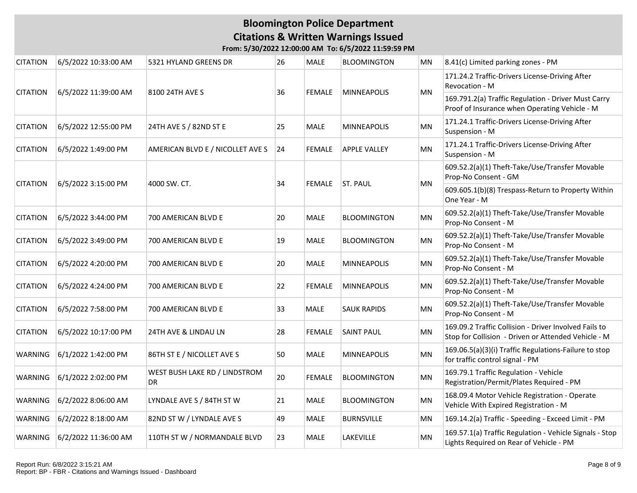| <b>CITATION</b> | 6/5/2022 10:33:00 AM | 5321 HYLAND GREENS DR                | 26 | <b>MALE</b>   | <b>BLOOMINGTON</b>  | <b>MN</b> | 8.41(c) Limited parking zones - PM                                                                           |
|-----------------|----------------------|--------------------------------------|----|---------------|---------------------|-----------|--------------------------------------------------------------------------------------------------------------|
|                 |                      |                                      | 36 | <b>FEMALE</b> | <b>MINNEAPOLIS</b>  | MN        | 171.24.2 Traffic-Drivers License-Driving After<br>Revocation - M                                             |
| <b>CITATION</b> | 6/5/2022 11:39:00 AM | 8100 24TH AVE S                      |    |               |                     |           | 169.791.2(a) Traffic Regulation - Driver Must Carry<br>Proof of Insurance when Operating Vehicle - M         |
| <b>CITATION</b> | 6/5/2022 12:55:00 PM | 24TH AVE S / 82ND ST E               | 25 | <b>MALE</b>   | <b>MINNEAPOLIS</b>  | MN        | 171.24.1 Traffic-Drivers License-Driving After<br>Suspension - M                                             |
| <b>CITATION</b> | 6/5/2022 1:49:00 PM  | AMERICAN BLVD E / NICOLLET AVE S     | 24 | <b>FEMALE</b> | <b>APPLE VALLEY</b> | <b>MN</b> | 171.24.1 Traffic-Drivers License-Driving After<br>Suspension - M                                             |
| <b>CITATION</b> |                      | 4000 SW. CT.                         | 34 | <b>FEMALE</b> |                     | MN        | 609.52.2(a)(1) Theft-Take/Use/Transfer Movable<br>Prop-No Consent - GM                                       |
|                 | 6/5/2022 3:15:00 PM  |                                      |    |               | <b>ST. PAUL</b>     |           | 609.605.1(b)(8) Trespass-Return to Property Within<br>One Year - M                                           |
| <b>CITATION</b> | 6/5/2022 3:44:00 PM  | 700 AMERICAN BLVD E                  | 20 | <b>MALE</b>   | <b>BLOOMINGTON</b>  | MN        | 609.52.2(a)(1) Theft-Take/Use/Transfer Movable<br>Prop-No Consent - M                                        |
| <b>CITATION</b> | 6/5/2022 3:49:00 PM  | 700 AMERICAN BLVD E                  | 19 | <b>MALE</b>   | <b>BLOOMINGTON</b>  | MN        | 609.52.2(a)(1) Theft-Take/Use/Transfer Movable<br>Prop-No Consent - M                                        |
| <b>CITATION</b> | 6/5/2022 4:20:00 PM  | 700 AMERICAN BLVD E                  | 20 | <b>MALE</b>   | MINNEAPOLIS         | MN        | 609.52.2(a)(1) Theft-Take/Use/Transfer Movable<br>Prop-No Consent - M                                        |
| <b>CITATION</b> | 6/5/2022 4:24:00 PM  | 700 AMERICAN BLVD E                  | 22 | <b>FEMALE</b> | <b>MINNEAPOLIS</b>  | MN        | 609.52.2(a)(1) Theft-Take/Use/Transfer Movable<br>Prop-No Consent - M                                        |
| <b>CITATION</b> | 6/5/2022 7:58:00 PM  | 700 AMERICAN BLVD E                  | 33 | <b>MALE</b>   | <b>SAUK RAPIDS</b>  | MN        | 609.52.2(a)(1) Theft-Take/Use/Transfer Movable<br>Prop-No Consent - M                                        |
| <b>CITATION</b> | 6/5/2022 10:17:00 PM | 24TH AVE & LINDAU LN                 | 28 | <b>FEMALE</b> | <b>SAINT PAUL</b>   | <b>MN</b> | 169.09.2 Traffic Collision - Driver Involved Fails to<br>Stop for Collision - Driven or Attended Vehicle - M |
| WARNING         | 6/1/2022 1:42:00 PM  | 86TH ST E / NICOLLET AVE S           | 50 | <b>MALE</b>   | <b>MINNEAPOLIS</b>  | MN        | 169.06.5(a)(3)(i) Traffic Regulations-Failure to stop<br>for traffic control signal - PM                     |
| <b>WARNING</b>  | 6/1/2022 2:02:00 PM  | WEST BUSH LAKE RD / LINDSTROM<br>DR. | 20 | <b>FEMALE</b> | <b>BLOOMINGTON</b>  | MN        | 169.79.1 Traffic Regulation - Vehicle<br>Registration/Permit/Plates Required - PM                            |
| <b>WARNING</b>  | 6/2/2022 8:06:00 AM  | LYNDALE AVE S / 84TH ST W            | 21 | <b>MALE</b>   | <b>BLOOMINGTON</b>  | MN        | 168.09.4 Motor Vehicle Registration - Operate<br>Vehicle With Expired Registration - M                       |
| <b>WARNING</b>  | 6/2/2022 8:18:00 AM  | 82ND ST W / LYNDALE AVE S            | 49 | <b>MALE</b>   | <b>BURNSVILLE</b>   | ΜN        | 169.14.2(a) Traffic - Speeding - Exceed Limit - PM                                                           |
| WARNING         | 6/2/2022 11:36:00 AM | 110TH ST W / NORMANDALE BLVD         | 23 | <b>MALE</b>   | LAKEVILLE           | MN        | 169.57.1(a) Traffic Regulation - Vehicle Signals - Stop<br>Lights Required on Rear of Vehicle - PM           |